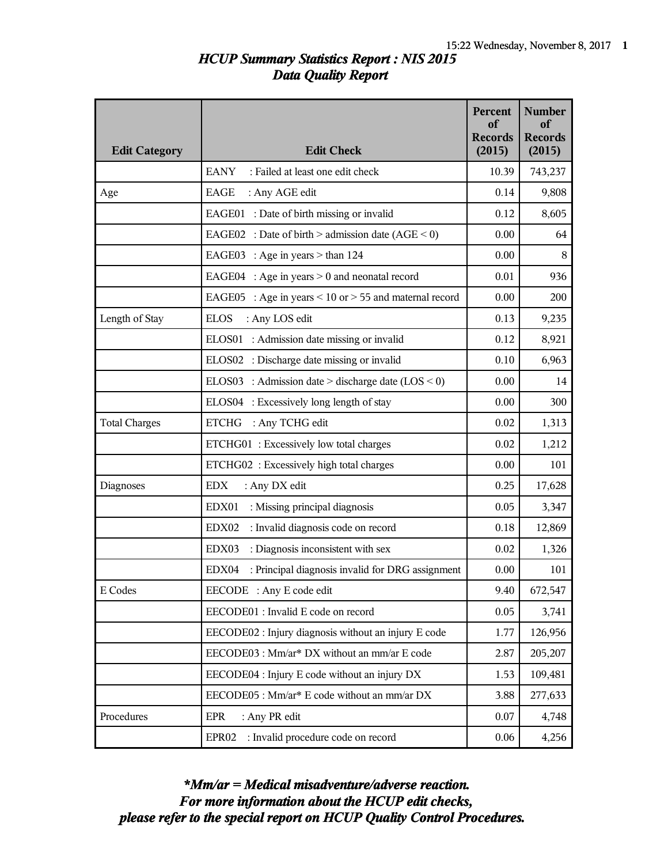## *HCUP Summary Statistics Report : NIS 2015 Data Quality Report*

| <b>Edit Category</b> | <b>Edit Check</b>                                             | Percent<br>of<br><b>Records</b><br>(2015) | <b>Number</b><br><sub>of</sub><br><b>Records</b><br>(2015) |
|----------------------|---------------------------------------------------------------|-------------------------------------------|------------------------------------------------------------|
|                      | <b>EANY</b><br>: Failed at least one edit check               | 10.39                                     | 743,237                                                    |
| Age                  | EAGE<br>: Any AGE edit                                        | 0.14                                      | 9,808                                                      |
|                      | EAGE01 : Date of birth missing or invalid                     | 0.12                                      | 8,605                                                      |
|                      | EAGE02 : Date of birth > admission date $(AGE < 0)$           | 0.00                                      | 64                                                         |
|                      | EAGE03 : Age in years $>$ than 124                            | 0.00                                      | 8                                                          |
|                      | EAGE04 : Age in years $> 0$ and neonatal record               | 0.01                                      | 936                                                        |
|                      | : Age in years $< 10$ or $> 55$ and maternal record<br>EAGE05 | 0.00                                      | 200                                                        |
| Length of Stay       | <b>ELOS</b><br>: Any LOS edit                                 | 0.13                                      | 9,235                                                      |
|                      | ELOS01 : Admission date missing or invalid                    | 0.12                                      | 8,921                                                      |
|                      | ELOS02 : Discharge date missing or invalid                    | 0.10                                      | 6,963                                                      |
|                      | ELOS03 : Admission date > discharge date $(LOS < 0)$          | 0.00                                      | 14                                                         |
|                      | ELOS04 : Excessively long length of stay                      | 0.00                                      | 300                                                        |
| <b>Total Charges</b> | <b>ETCHG</b><br>: Any TCHG edit                               | 0.02                                      | 1,313                                                      |
|                      | ETCHG01: Excessively low total charges                        | 0.02                                      | 1,212                                                      |
|                      | ETCHG02 : Excessively high total charges                      | 0.00                                      | 101                                                        |
| Diagnoses            | : Any DX edit<br><b>EDX</b>                                   | 0.25                                      | 17,628                                                     |
|                      | : Missing principal diagnosis<br>EDX01                        | 0.05                                      | 3,347                                                      |
|                      | : Invalid diagnosis code on record<br>EDX02                   | 0.18                                      | 12,869                                                     |
|                      | : Diagnosis inconsistent with sex<br>EDX03                    | 0.02                                      | 1,326                                                      |
|                      | EDX04<br>: Principal diagnosis invalid for DRG assignment     | 0.00                                      | 101                                                        |
| E Codes              | EECODE : Any E code edit                                      | 9.40                                      | 672,547                                                    |
|                      | EECODE01 : Invalid E code on record                           | 0.05                                      | 3,741                                                      |
|                      | EECODE02 : Injury diagnosis without an injury E code          | 1.77                                      | 126,956                                                    |
|                      | EECODE03 : Mm/ar* DX without an mm/ar E code                  | 2.87                                      | 205,207                                                    |
|                      | EECODE04 : Injury E code without an injury DX                 | 1.53                                      | 109,481                                                    |
|                      | EECODE05 : Mm/ar* E code without an mm/ar DX                  | 3.88                                      | 277,633                                                    |
| Procedures           | : Any PR edit<br>EPR                                          | 0.07                                      | 4,748                                                      |
|                      | : Invalid procedure code on record<br>EPR <sub>02</sub>       | 0.06                                      | 4,256                                                      |

*please refer to the special report on HCUP Quality Control Procedures. For more information about the HCUP edit checks, \*Mm/ar = Medical misadventure/adverse reaction.*